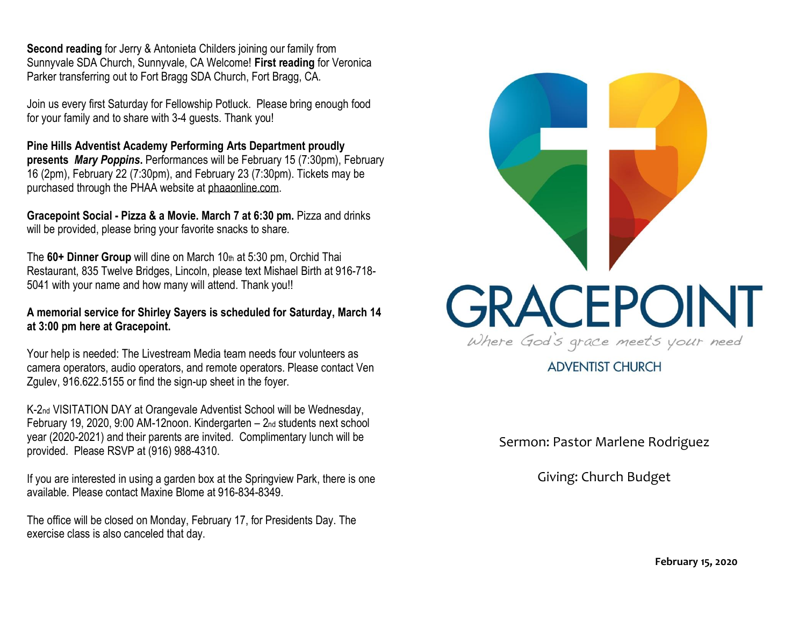**Second reading** for Jerry & Antonieta Childers joining our family from Sunnyvale SDA Church, Sunnyvale, CA Welcome! **First reading** for Veronica Parker transferring out to Fort Bragg SDA Church, Fort Bragg, CA.

Join us every first Saturday for Fellowship Potluck. Please bring enough food for your family and to share with 3-4 guests. Thank you!

**Pine Hills Adventist Academy Performing Arts Department proudly presents** *Mary Poppins***.** Performances will be February 15 (7:30pm), February 16 (2pm), February 22 (7:30pm), and February 23 (7:30pm). Tickets may be purchased through the PHAA website at [phaaonline.com.](http://www.phaaonline.com/)

**Gracepoint Social - Pizza & a Movie. March 7 at 6:30 pm.** Pizza and drinks will be provided, please bring your favorite snacks to share.

The **60+ Dinner Group** will dine on March 10th at 5:30 pm, Orchid Thai Restaurant, 835 Twelve Bridges, Lincoln, please text Mishael Birth at 916-718- 5041 with your name and how many will attend. Thank you!!

**A memorial service for Shirley Sayers is scheduled for Saturday, March 14 at 3:00 pm here at Gracepoint.**

Your help is needed: The Livestream Media team needs four volunteers as camera operators, audio operators, and remote operators. Please contact Ven Zgulev, 916.622.5155 or find the sign-up sheet in the foyer.

K-2nd VISITATION DAY at Orangevale Adventist School will be Wednesday, February 19, 2020, 9:00 AM-12noon. Kindergarten – 2nd students next school year (2020-2021) and their parents are invited. Complimentary lunch will be provided. Please RSVP at (916) 988-4310.

If you are interested in using a garden box at the Springview Park, there is one available. Please contact Maxine Blome at 916-834-8349.

The office will be closed on Monday, February 17, for Presidents Day. The exercise class is also canceled that day.



**ADVENTIST CHURCH** 

Sermon: Pastor Marlene Rodriguez

Giving: Church Budget